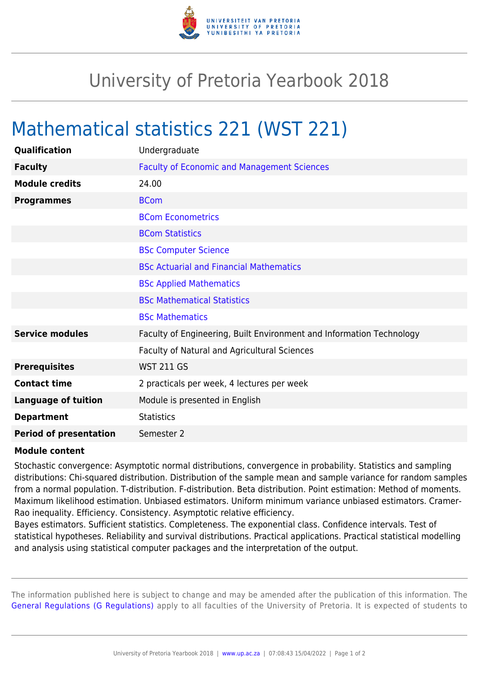

## University of Pretoria Yearbook 2018

## Mathematical statistics 221 (WST 221)

| Qualification                 | Undergraduate                                                        |
|-------------------------------|----------------------------------------------------------------------|
| <b>Faculty</b>                | <b>Faculty of Economic and Management Sciences</b>                   |
| <b>Module credits</b>         | 24.00                                                                |
| <b>Programmes</b>             | <b>BCom</b>                                                          |
|                               | <b>BCom Econometrics</b>                                             |
|                               | <b>BCom Statistics</b>                                               |
|                               | <b>BSc Computer Science</b>                                          |
|                               | <b>BSc Actuarial and Financial Mathematics</b>                       |
|                               | <b>BSc Applied Mathematics</b>                                       |
|                               | <b>BSc Mathematical Statistics</b>                                   |
|                               | <b>BSc Mathematics</b>                                               |
| <b>Service modules</b>        | Faculty of Engineering, Built Environment and Information Technology |
|                               | Faculty of Natural and Agricultural Sciences                         |
| <b>Prerequisites</b>          | <b>WST 211 GS</b>                                                    |
| <b>Contact time</b>           | 2 practicals per week, 4 lectures per week                           |
| <b>Language of tuition</b>    | Module is presented in English                                       |
| <b>Department</b>             | <b>Statistics</b>                                                    |
| <b>Period of presentation</b> | Semester 2                                                           |

## **Module content**

Stochastic convergence: Asymptotic normal distributions, convergence in probability. Statistics and sampling distributions: Chi-squared distribution. Distribution of the sample mean and sample variance for random samples from a normal population. T-distribution. F-distribution. Beta distribution. Point estimation: Method of moments. Maximum likelihood estimation. Unbiased estimators. Uniform minimum variance unbiased estimators. Cramer-Rao inequality. Efficiency. Consistency. Asymptotic relative efficiency.

Bayes estimators. Sufficient statistics. Completeness. The exponential class. Confidence intervals. Test of statistical hypotheses. Reliability and survival distributions. Practical applications. Practical statistical modelling and analysis using statistical computer packages and the interpretation of the output.

The information published here is subject to change and may be amended after the publication of this information. The [General Regulations \(G Regulations\)](https://www.up.ac.za/yearbooks/2018/rules/view/REG) apply to all faculties of the University of Pretoria. It is expected of students to